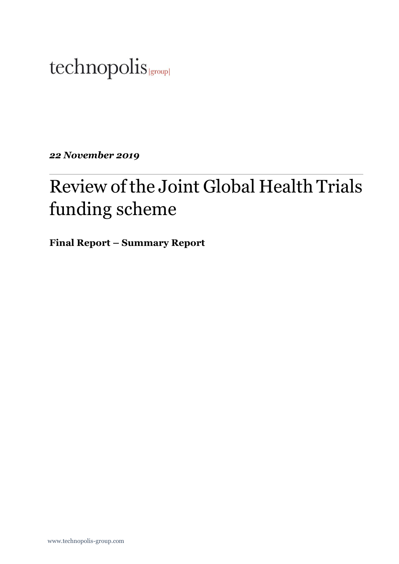# technopolis |group|

*22 November 2019*

# Review of the Joint Global Health Trials funding scheme

**Final Report – Summary Report**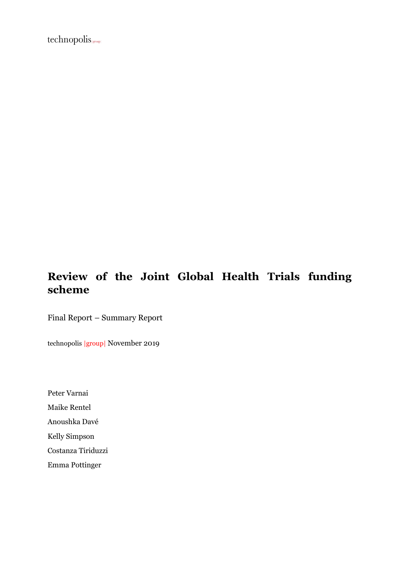technopolis(group)

## **Review of the Joint Global Health Trials funding scheme**

Final Report – Summary Report

technopolis |group| November 2019

Peter Varnai Maike Rentel Anoushka Davé Kelly Simpson Costanza Tiriduzzi

Emma Pottinger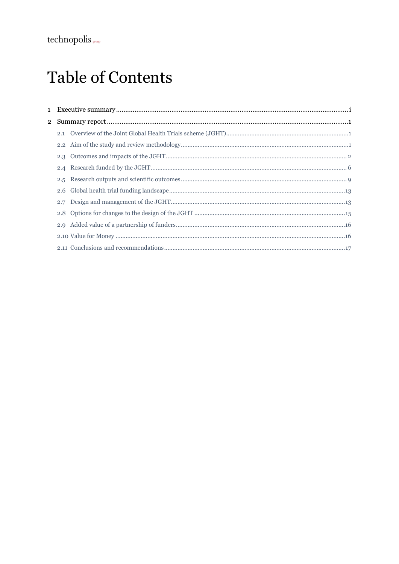## **Table of Contents**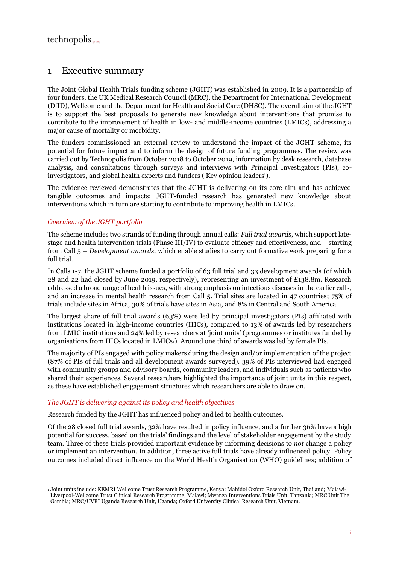## <span id="page-3-0"></span>1 Executive summary

The Joint Global Health Trials funding scheme (JGHT) was established in 2009. It is a partnership of four funders, the UK Medical Research Council (MRC), the Department for International Development (DfID), Wellcome and the Department for Health and Social Care (DHSC). The overall aim of the JGHT is to support the best proposals to generate new knowledge about interventions that promise to contribute to the improvement of health in low- and middle-income countries (LMICs), addressing a major cause of mortality or morbidity.

The funders commissioned an external review to understand the impact of the JGHT scheme, its potential for future impact and to inform the design of future funding programmes. The review was carried out by Technopolis from October 2018 to October 2019, information by desk research, database analysis, and consultations through surveys and interviews with Principal Investigators (PIs), coinvestigators, and global health experts and funders ('Key opinion leaders').

The evidence reviewed demonstrates that the JGHT is delivering on its core aim and has achieved tangible outcomes and impacts: JGHT-funded research has generated new knowledge about interventions which in turn are starting to contribute to improving health in LMICs.

#### *Overview of the JGHT portfolio*

The scheme includes two strands of funding through annual calls: *Full trial awards*, which support latestage and health intervention trials (Phase III/IV) to evaluate efficacy and effectiveness, and – starting from Call 5 – *Development awards*, which enable studies to carry out formative work preparing for a full trial.

In Calls 1-7, the JGHT scheme funded a portfolio of 63 full trial and 33 development awards (of which 28 and 22 had closed by June 2019, respectively), representing an investment of £138.8m. Research addressed a broad range of health issues, with strong emphasis on infectious diseases in the earlier calls, and an increase in mental health research from Call 5. Trial sites are located in 47 countries; 75% of trials include sites in Africa, 30% of trials have sites in Asia, and 8% in Central and South America.

The largest share of full trial awards (63%) were led by principal investigators (PIs) affiliated with institutions located in high-income countries (HICs), compared to 13% of awards led by researchers from LMIC institutions and 24% led by researchers at 'joint units' (programmes or institutes funded by organisations from HICs located in LMICs1). Around one third of awards was led by female PIs.

The majority of PIs engaged with policy makers during the design and/or implementation of the project (87% of PIs of full trials and all development awards surveyed). 39% of PIs interviewed had engaged with community groups and advisory boards, community leaders, and individuals such as patients who shared their experiences. Several researchers highlighted the importance of joint units in this respect, as these have established engagement structures which researchers are able to draw on.

#### *The JGHT is delivering against its policy and health objectives*

Research funded by the JGHT has influenced policy and led to health outcomes.

Of the 28 closed full trial awards, 32% have resulted in policy influence, and a further 36% have a high potential for success, based on the trials' findings and the level of stakeholder engagement by the study team. Three of these trials provided important evidence by informing decisions to *not* change a policy or implement an intervention. In addition, three active full trials have already influenced policy. Policy outcomes included direct influence on the World Health Organisation (WHO) guidelines; addition of

<sup>1</sup> Joint units include: KEMRI Wellcome Trust Research Programme, Kenya; Mahidol Oxford Research Unit, Thailand; Malawi-Liverpool-Wellcome Trust Clinical Research Programme, Malawi; Mwanza Interventions Trials Unit, Tanzania; MRC Unit The Gambia; MRC/UVRI Uganda Research Unit, Uganda; Oxford University Clinical Research Unit, Vietnam.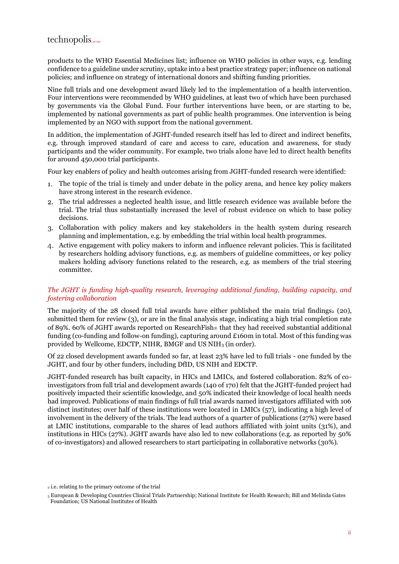products to the WHO Essential Medicines list; influence on WHO policies in other ways, e.g. lending confidence to a guideline under scrutiny, uptake into a best practice strategy paper; influence on national policies; and influence on strategy of international donors and shifting funding priorities.

Nine full trials and one development award likely led to the implementation of a health intervention. Four interventions were recommended by WHO guidelines, at least two of which have been purchased by governments via the Global Fund. Four further interventions have been, or are starting to be, implemented by national governments as part of public health programmes. One intervention is being implemented by an NGO with support from the national government.

In addition, the implementation of JGHT-funded research itself has led to direct and indirect benefits, e.g. through improved standard of care and access to care, education and awareness, for study participants and the wider community. For example, two trials alone have led to direct health benefits for around 450,000 trial participants.

Four key enablers of policy and health outcomes arising from JGHT-funded research were identified:

- The topic of the trial is timely and under debate in the policy arena, and hence key policy makers have strong interest in the research evidence.
- The trial addresses a neglected health issue, and little research evidence was available before the trial. The trial thus substantially increased the level of robust evidence on which to base policy decisions.
- Collaboration with policy makers and key stakeholders in the health system during research planning and implementation, e.g. by embedding the trial within local health programmes.
- Active engagement with policy makers to inform and influence relevant policies. This is facilitated by researchers holding advisory functions, e.g. as members of guideline committees, or key policy makers holding advisory functions related to the research, e.g. as members of the trial steering committee.

#### *The JGHT is funding high-quality research, leveraging additional funding, building capacity, and fostering collaboration*

The majority of the 28 closed full trial awards have either published the main trial findings $2(20)$ , submitted them for review (3), or are in the final analysis stage, indicating a high trial completion rate of 89%. 60% of JGHT awards reported on Research Fish  $\circ$  that they had received substantial additional funding (co-funding and follow-on funding), capturing around £160m in total. Most of this funding was provided by Wellcome, EDCTP, NIHR, BMGF and US NIH<sup>3</sup> (in order).

Of 22 closed development awards funded so far, at least 23% have led to full trials - one funded by the JGHT, and four by other funders, including DfID, US NIH and EDCTP.

JGHT-funded research has built capacity, in HICs and LMICs, and fostered collaboration. 82% of coinvestigators from full trial and development awards (140 of 170) felt that the JGHT-funded project had positively impacted their scientific knowledge, and 50% indicated their knowledge of local health needs had improved. Publications of main findings of full trial awards named investigators affiliated with 106 distinct institutes; over half of these institutions were located in LMICs (57), indicating a high level of involvement in the delivery of the trials. The lead authors of a quarter of publications (27%) were based at LMIC institutions, comparable to the shares of lead authors affiliated with joint units (31%), and institutions in HICs (27%). JGHT awards have also led to new collaborations (e.g. as reported by 50% of co-investigators) and allowed researchers to start participating in collaborative networks (30%).

<sup>2</sup> i.e. relating to the primary outcome of the trial

<sup>3</sup> European & Developing Countries Clinical Trials Partnership; National Institute for Health Research; Bill and Melinda Gates Foundation; US National Institutes of Health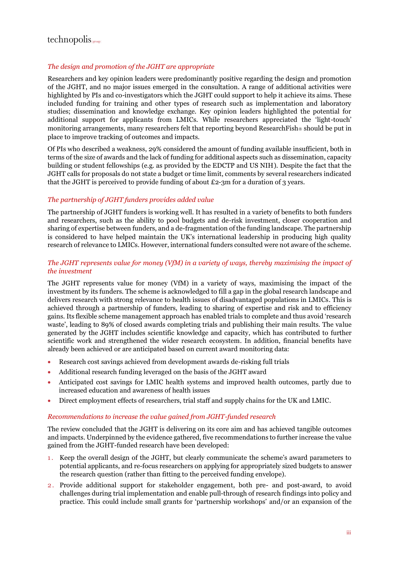## $technopolis_{|group|}$

#### *The design and promotion of the JGHT are appropriate*

Researchers and key opinion leaders were predominantly positive regarding the design and promotion of the JGHT, and no major issues emerged in the consultation. A range of additional activities were highlighted by PIs and co-investigators which the JGHT could support to help it achieve its aims. These included funding for training and other types of research such as implementation and laboratory studies; dissemination and knowledge exchange. Key opinion leaders highlighted the potential for additional support for applicants from LMICs. While researchers appreciated the 'light-touch' monitoring arrangements, many researchers felt that reporting beyond ResearchFish ® should be put in place to improve tracking of outcomes and impacts.

Of PIs who described a weakness, 29% considered the amount of funding available insufficient, both in terms of the size of awards and the lack of funding for additional aspects such as dissemination, capacity building or student fellowships (e.g. as provided by the EDCTP and US NIH). Despite the fact that the JGHT calls for proposals do not state a budget or time limit, comments by several researchers indicated that the JGHT is perceived to provide funding of about  $E_2$ -3m for a duration of 3 years.

#### *The partnership of JGHT funders provides added value*

The partnership of JGHT funders is working well. It has resulted in a variety of benefits to both funders and researchers, such as the ability to pool budgets and de-risk investment, closer cooperation and sharing of expertise between funders, and a de-fragmentation of the funding landscape. The partnership is considered to have helped maintain the UK's international leadership in producing high quality research of relevance to LMICs. However, international funders consulted were not aware of the scheme.

#### *The JGHT represents value for money (VfM) in a variety of ways, thereby maximising the impact of the investment*

The JGHT represents value for money (VfM) in a variety of ways, maximising the impact of the investment by its funders. The scheme is acknowledged to fill a gap in the global research landscape and delivers research with strong relevance to health issues of disadvantaged populations in LMICs. This is achieved through a partnership of funders, leading to sharing of expertise and risk and to efficiency gains. Its flexible scheme management approach has enabled trials to complete and thus avoid 'research waste', leading to 89% of closed awards completing trials and publishing their main results. The value generated by the JGHT includes scientific knowledge and capacity, which has contributed to further scientific work and strengthened the wider research ecosystem. In addition, financial benefits have already been achieved or are anticipated based on current award monitoring data:

- Research cost savings achieved from development awards de-risking full trials
- Additional research funding leveraged on the basis of the JGHT award
- Anticipated cost savings for LMIC health systems and improved health outcomes, partly due to increased education and awareness of health issues
- Direct employment effects of researchers, trial staff and supply chains for the UK and LMIC.

#### *Recommendations to increase the value gained from JGHT-funded research*

The review concluded that the JGHT is delivering on its core aim and has achieved tangible outcomes and impacts. Underpinned by the evidence gathered, five recommendations to further increase the value gained from the JGHT-funded research have been developed:

- 1 . Keep the overall design of the JGHT, but clearly communicate the scheme's award parameters to potential applicants, and re-focus researchers on applying for appropriately sized budgets to answer the research question (rather than fitting to the perceived funding envelope).
- 2 . Provide additional support for stakeholder engagement, both pre- and post-award, to avoid challenges during trial implementation and enable pull-through of research findings into policy and practice. This could include small grants for 'partnership workshops' and/or an expansion of the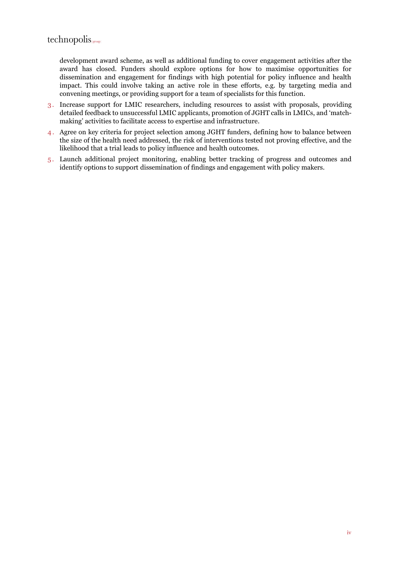development award scheme, as well as additional funding to cover engagement activities after the award has closed. Funders should explore options for how to maximise opportunities for dissemination and engagement for findings with high potential for policy influence and health impact. This could involve taking an active role in these efforts, e.g. by targeting media and convening meetings, or providing support for a team of specialists for this function.

- 3 . Increase support for LMIC researchers, including resources to assist with proposals, providing detailed feedback to unsuccessful LMIC applicants, promotion of JGHT calls in LMICs, and 'matchmaking' activities to facilitate access to expertise and infrastructure.
- 4 . Agree on key criteria for project selection among JGHT funders, defining how to balance between the size of the health need addressed, the risk of interventions tested not proving effective, and the likelihood that a trial leads to policy influence and health outcomes.
- 5 . Launch additional project monitoring, enabling better tracking of progress and outcomes and identify options to support dissemination of findings and engagement with policy makers.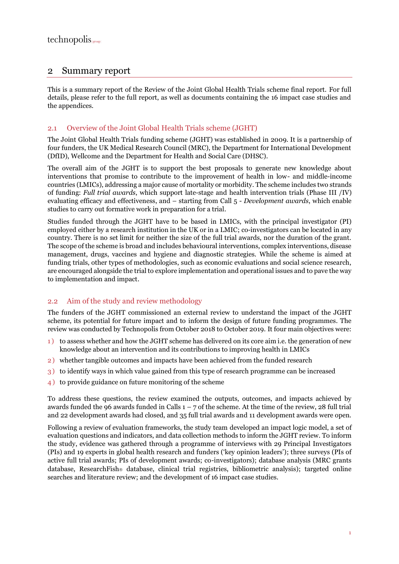## <span id="page-7-0"></span>2 Summary report

This is a summary report of the Review of the Joint Global Health Trials scheme final report. For full details, please refer to the full report, as well as documents containing the 16 impact case studies and the appendices.

#### <span id="page-7-1"></span>2.1 Overview of the Joint Global Health Trials scheme (JGHT)

The Joint Global Health Trials funding scheme (JGHT) was established in 2009. It is a partnership of four funders, the UK Medical Research Council (MRC), the Department for International Development (DfID), Wellcome and the Department for Health and Social Care (DHSC).

The overall aim of the JGHT is to support the best proposals to generate new knowledge about interventions that promise to contribute to the improvement of health in low- and middle-income countries (LMICs), addressing a major cause of mortality or morbidity. The scheme includes two strands of funding: *Full trial awards*, which support late-stage and health intervention trials (Phase III /IV) evaluating efficacy and effectiveness, and – starting from Call 5 - *Development awards*, which enable studies to carry out formative work in preparation for a trial.

Studies funded through the JGHT have to be based in LMICs, with the principal investigator (PI) employed either by a research institution in the UK or in a LMIC; co-investigators can be located in any country. There is no set limit for neither the size of the full trial awards, nor the duration of the grant. The scope of the scheme is broad and includes behavioural interventions, complex interventions, disease management, drugs, vaccines and hygiene and diagnostic strategies. While the scheme is aimed at funding trials, other types of methodologies, such as economic evaluations and social science research, are encouraged alongside the trial to explore implementation and operational issues and to pave the way to implementation and impact.

#### <span id="page-7-2"></span>2.2 Aim of the study and review methodology

The funders of the JGHT commissioned an external review to understand the impact of the JGHT scheme, its potential for future impact and to inform the design of future funding programmes. The review was conducted by Technopolis from October 2018 to October 2019. It four main objectives were:

- 1 ) to assess whether and how the JGHT scheme has delivered on its core aim i.e. the generation of new knowledge about an intervention and its contributions to improving health in LMICs
- 2 ) whether tangible outcomes and impacts have been achieved from the funded research
- 3 ) to identify ways in which value gained from this type of research programme can be increased
- 4 ) to provide guidance on future monitoring of the scheme

To address these questions, the review examined the outputs, outcomes, and impacts achieved by awards funded the 96 awards funded in Calls  $1 - 7$  of the scheme. At the time of the review, 28 full trial and 22 development awards had closed, and 35 full trial awards and 11 development awards were open.

Following a review of evaluation frameworks, the study team developed an impact logic model, a set of evaluation questions and indicators, and data collection methods to inform the JGHT review. To inform the study, evidence was gathered through a programme of interviews with 29 Principal Investigators (PIs) and 19 experts in global health research and funders ('key opinion leaders'); three surveys (PIs of active full trial awards; PIs of development awards; co-investigators); database analysis (MRC grants database, ResearchFish database, clinical trial registries, bibliometric analysis); targeted online searches and literature review; and the development of 16 impact case studies.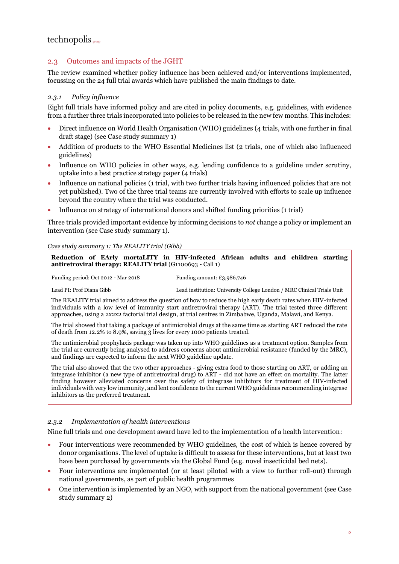## $technopolis_{|group|}$

#### <span id="page-8-0"></span>2.3 Outcomes and impacts of the JGHT

The review examined whether policy influence has been achieved and/or interventions implemented, focussing on the 24 full trial awards which have published the main findings to date.

#### *2.3.1 Policy influence*

Eight full trials have informed policy and are cited in policy documents, e.g. guidelines, with evidence from a further three trials incorporated into policies to be released in the new few months. This includes:

- Direct influence on World Health Organisation (WHO) guidelines (4 trials, with one further in final draft stage) (see [Case study summary 1\)](#page-8-1)
- Addition of products to the WHO Essential Medicines list (2 trials, one of which also influenced guidelines)
- Influence on WHO policies in other ways, e.g. lending confidence to a guideline under scrutiny, uptake into a best practice strategy paper (4 trials)
- Influence on national policies (1 trial, with two further trials having influenced policies that are not yet published). Two of the three trial teams are currently involved with efforts to scale up influence beyond the country where the trial was conducted.
- Influence on strategy of international donors and shifted funding priorities (1 trial)

Three trials provided important evidence by informing decisions to *not* change a policy or implement an intervention (see [Case study summary 1\)](#page-8-1).

#### <span id="page-8-1"></span>*Case study summary 1: The REALITY trial (Gibb)*

**Reduction of EArly mortaLITY in HIV-infected African adults and children starting antiretroviral therapy: REALITY trial** (G1100693 - Call 1)

Funding period: Oct 2012 - Mar 2018 Funding amount: £3,986,746

Lead PI: Prof Diana Gibb Lead institution: University College London / MRC Clinical Trials Unit

The REALITY trial aimed to address the question of how to reduce the high early death rates when HIV-infected individuals with a low level of immunity start antiretroviral therapy (ART). The trial tested three different approaches, using a 2x2x2 factorial trial design, at trial centres in Zimbabwe, Uganda, Malawi, and Kenya.

The trial showed that taking a package of antimicrobial drugs at the same time as starting ART reduced the rate of death from 12.2% to 8.9%, saving 3 lives for every 1000 patients treated.

The antimicrobial prophylaxis package was taken up into WHO guidelines as a treatment option. Samples from the trial are currently being analysed to address concerns about antimicrobial resistance (funded by the MRC), and findings are expected to inform the next WHO guideline update.

The trial also showed that the two other approaches - giving extra food to those starting on ART, or adding an integrase inhibitor (a new type of antiretroviral drug) to ART - did not have an effect on mortality. The latter finding however alleviated concerns over the safety of integrase inhibitors for treatment of HIV-infected individuals with very low immunity, and lent confidence to the current WHO guidelines recommending integrase inhibitors as the preferred treatment.

#### *2.3.2 Implementation of health interventions*

Nine full trials and one development award have led to the implementation of a health intervention:

- Four interventions were recommended by WHO guidelines, the cost of which is hence covered by donor organisations. The level of uptake is difficult to assess for these interventions, but at least two have been purchased by governments via the Global Fund (e.g. novel insecticidal bed nets).
- Four interventions are implemented (or at least piloted with a view to further roll-out) through national governments, as part of public health programmes
- One intervention is implemented by an NGO, with support from the national government (see [Case](#page-9-0)  [study summary 2\)](#page-9-0)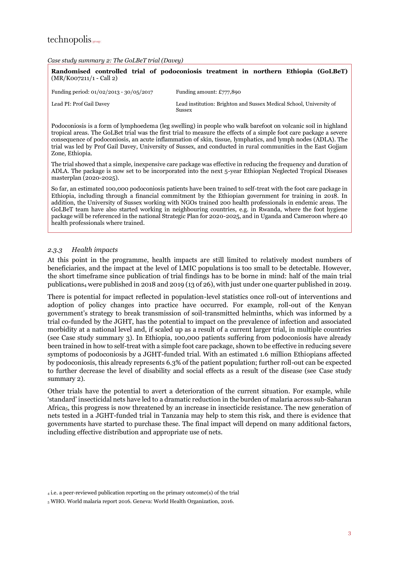<span id="page-9-0"></span>*Case study summary 2: The GoLBeT trial (Davey)*

**Randomised controlled trial of podoconiosis treatment in northern Ethiopia (GoLBeT)** (MR/K007211/1 - Call 2)

| Funding period: $01/02/2013 - 30/05/2017$ | Funding amount: $£777,890$                                                    |
|-------------------------------------------|-------------------------------------------------------------------------------|
| Lead PI: Prof Gail Davey                  | Lead institution: Brighton and Sussex Medical School, University of<br>Sussex |

Podoconiosis is a form of lymphoedema (leg swelling) in people who walk barefoot on volcanic soil in highland tropical areas. The GoLBet trial was the first trial to measure the effects of a simple foot care package a severe consequence of podoconiosis, an acute inflammation of skin, tissue, lymphatics, and lymph nodes (ADLA). The trial was led by Prof Gail Davey, University of Sussex, and conducted in rural communities in the East Gojjam Zone, Ethiopia.

The trial showed that a simple, inexpensive care package was effective in reducing the frequency and duration of ADLA. The package is now set to be incorporated into the next 5-year Ethiopian Neglected Tropical Diseases masterplan (2020-2025).

So far, an estimated 100,000 podoconiosis patients have been trained to self-treat with the foot care package in Ethiopia, including through a financial commitment by the Ethiopian government for training in 2018. In addition, the University of Sussex working with NGOs trained 200 health professionals in endemic areas. The GoLBeT team have also started working in neighbouring countries, e.g. in Rwanda, where the foot hygiene package will be referenced in the national Strategic Plan for 2020-2025, and in Uganda and Cameroon where 40 health professionals where trained.

#### *2.3.3 Health impacts*

At this point in the programme, health impacts are still limited to relatively modest numbers of beneficiaries, and the impact at the level of LMIC populations is too small to be detectable. However, the short timeframe since publication of trial findings has to be borne in mind: half of the main trial publications<sup>4</sup> were published in 2018 and 2019 (13 of 26), with just under one quarter published in 2019.

There is potential for impact reflected in population-level statistics once roll-out of interventions and adoption of policy changes into practice have occurred. For example, roll-out of the Kenyan government's strategy to break transmission of soil-transmitted helminths, which was informed by a trial co-funded by the JGHT, has the potential to impact on the prevalence of infection and associated morbidity at a national level and, if scaled up as a result of a current larger trial, in multiple countries (see [Case study summary 3\)](#page-10-0). In Ethiopia, 100,000 patients suffering from podoconiosis have already been trained in how to self-treat with a simple foot care package, shown to be effective in reducing severe symptoms of podoconiosis by a JGHT-funded trial. With an estimated 1.6 million Ethiopians affected by podoconiosis, this already represents 6.3% of the patient population; further roll-out can be expected to further decrease the level of disability and social effects as a result of the disease (see [Case study](#page-9-0)  [summary 2\)](#page-9-0).

Other trials have the potential to avert a deterioration of the current situation. For example, while 'standard' insecticidal nets have led to a dramatic reduction in the burden of malaria across sub-Saharan Africa5, this progress is now threatened by an increase in insecticide resistance. The new generation of nets tested in a JGHT-funded trial in Tanzania may help to stem this risk, and there is evidence that governments have started to purchase these. The final impact will depend on many additional factors, including effective distribution and appropriate use of nets.

<sup>4</sup> i.e. a peer-reviewed publication reporting on the primary outcome(s) of the trial

<sup>5</sup> WHO. World malaria report 2016. Geneva: World Health Organization, 2016.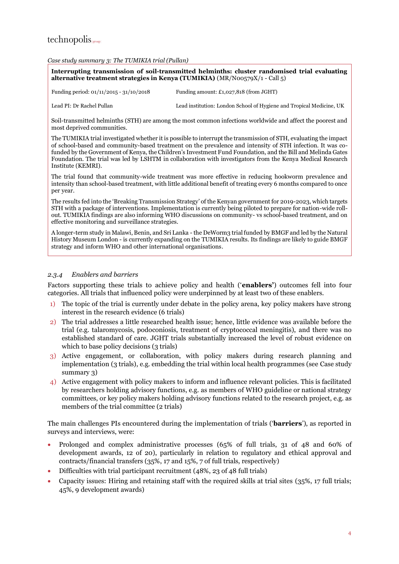#### <span id="page-10-0"></span>*Case study summary 3: The TUMIKIA trial (Pullan)*

**Interrupting transmission of soil-transmitted helminths: cluster randomised trial evaluating alternative treatment strategies in Kenya (TUMIKIA)** (MR/N00579X/1 - Call 5)

Funding period: 01/11/2015 - 31/10/2018 Funding amount: £1,027,818 (from JGHT)

Lead PI: Dr Rachel Pullan Lead institution: London School of Hygiene and Tropical Medicine, UK

Soil-transmitted helminths (STH) are among the most common infections worldwide and affect the poorest and most deprived communities.

The TUMIKIA trial investigated whether it is possible to interrupt the transmission of STH, evaluating the impact of school-based and community-based treatment on the prevalence and intensity of STH infection. It was cofunded by the Government of Kenya, the Children's Investment Fund Foundation, and the Bill and Melinda Gates Foundation. The trial was led by LSHTM in collaboration with investigators from the Kenya Medical Research Institute (KEMRI).

The trial found that community-wide treatment was more effective in reducing hookworm prevalence and intensity than school-based treatment, with little additional benefit of treating every 6 months compared to once per year.

The results fed into the 'Breaking Transmission Strategy' of the Kenyan government for 2019-2023, which targets STH with a package of interventions. Implementation is currently being piloted to prepare for nation-wide rollout. TUMIKIA findings are also informing WHO discussions on community- vs school-based treatment, and on effective monitoring and surveillance strategies.

A longer-term study in Malawi, Benin, and Sri Lanka - the DeWorm3 trial funded by BMGF and led by the Natural History Museum London - is currently expanding on the TUMIKIA results. Its findings are likely to guide BMGF strategy and inform WHO and other international organisations.

#### *2.3.4 Enablers and barriers*

Factors supporting these trials to achieve policy and health ('**enablers'**) outcomes fell into four categories. All trials that influenced policy were underpinned by at least two of these enablers.

- 1) The topic of the trial is currently under debate in the policy arena, key policy makers have strong interest in the research evidence (6 trials)
- 2) The trial addresses a little researched health issue; hence, little evidence was available before the trial (e.g. talaromycosis, podoconiosis, treatment of cryptococcal meningitis), and there was no established standard of care. JGHT trials substantially increased the level of robust evidence on which to base policy decisions (3 trials)
- 3) Active engagement, or collaboration, with policy makers during research planning and implementation (3 trials), e.g. embedding the trial within local health programmes (see [Case study](#page-10-0)  [summary 3\)](#page-10-0)
- 4) Active engagement with policy makers to inform and influence relevant policies. This is facilitated by researchers holding advisory functions, e.g. as members of WHO guideline or national strategy committees, or key policy makers holding advisory functions related to the research project, e.g. as members of the trial committee (2 trials)

The main challenges PIs encountered during the implementation of trials ('**barriers**'), as reported in surveys and interviews, were:

- Prolonged and complex administrative processes (65% of full trials, 31 of 48 and 60% of development awards, 12 of 20), particularly in relation to regulatory and ethical approval and contracts/financial transfers (35%, 17 and 15%, 7 of full trials, respectively)
- Difficulties with trial participant recruitment (48%, 23 of 48 full trials)
- Capacity issues: Hiring and retaining staff with the required skills at trial sites (35%, 17 full trials; 45%, 9 development awards)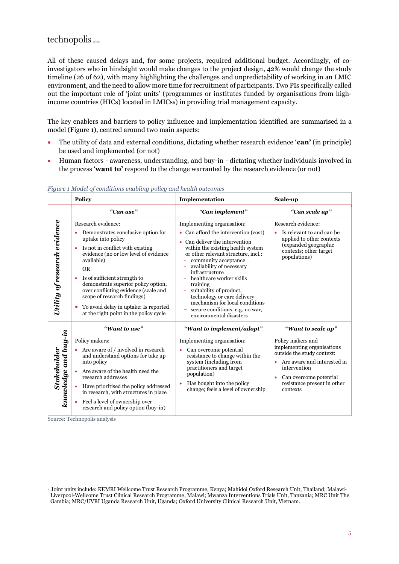All of these caused delays and, for some projects, required additional budget. Accordingly, of coinvestigators who in hindsight would make changes to the project design, 42% would change the study timeline (26 of 62), with many highlighting the challenges and unpredictability of working in an LMIC environment, and the need to allow more time for recruitment of participants. Two PIs specifically called out the important role of 'joint units' (programmes or institutes funded by organisations from highincome countries (HICs) located in LMICs6) in providing trial management capacity.

The key enablers and barriers to policy influence and implementation identified are summarised in a model [\(Figure 1\)](#page-11-0), centred around two main aspects:

- The utility of data and external conditions, dictating whether research evidence '**can'** (in principle) be used and implemented (or not)
- Human factors awareness, understanding, and buy-in dictating whether individuals involved in the process '**want to'** respond to the change warranted by the research evidence (or not)

|                                            | <b>Policy</b>                                                                                                                                                                                                                                                                                                                                                                                                                | Implementation                                                                                                                                                                                                                                                                                                                                                                                                                                                 | Scale-up                                                                                                                                                                                          |
|--------------------------------------------|------------------------------------------------------------------------------------------------------------------------------------------------------------------------------------------------------------------------------------------------------------------------------------------------------------------------------------------------------------------------------------------------------------------------------|----------------------------------------------------------------------------------------------------------------------------------------------------------------------------------------------------------------------------------------------------------------------------------------------------------------------------------------------------------------------------------------------------------------------------------------------------------------|---------------------------------------------------------------------------------------------------------------------------------------------------------------------------------------------------|
|                                            | "Can use"                                                                                                                                                                                                                                                                                                                                                                                                                    | "Can implement"                                                                                                                                                                                                                                                                                                                                                                                                                                                | "Can scale up"                                                                                                                                                                                    |
| Utility of research evidence               | Research evidence:<br>Demonstrates conclusive option for<br>uptake into policy<br>Is not in conflict with existing<br>٠<br>evidence (no or low level of evidence<br>available)<br><b>OR</b><br>Is of sufficient strength to<br>demonstrate superior policy option,<br>over conflicting evidence (scale and<br>scope of research findings)<br>To avoid delay in uptake: Is reported<br>at the right point in the policy cycle | Implementing organisation:<br>• Can afford the intervention (cost)<br>• Can deliver the intervention<br>within the existing health system<br>or other relevant structure, incl.:<br>community acceptance<br>availability of necessary<br>÷<br>infrastructure<br>healthcare worker skills<br>training<br>suitability of product,<br>technology or care delivery<br>mechanism for local conditions<br>secure conditions, e.g. no war,<br>environmental disasters | Research evidence:<br>Is relevant to and can be<br>applied to other contexts<br>(expanded geographic<br>contexts; other target<br>populations)                                                    |
|                                            | "Want to use"                                                                                                                                                                                                                                                                                                                                                                                                                | "Want to implement/adopt"                                                                                                                                                                                                                                                                                                                                                                                                                                      | "Want to scale up"                                                                                                                                                                                |
| knowledge and buy-in<br><b>Stakeholder</b> | Policy makers:<br>Are aware of / involved in research<br>and understand options for take up<br>into policy<br>Are aware of the health need the<br>research addresses<br>Have prioritised the policy addressed<br>in research, with structures in place<br>Feel a level of ownership over<br>research and policy option (buy-in)                                                                                              | Implementing organisation:<br>Can overcome potential<br>$\bullet$<br>resistance to change within the<br>system (including from<br>practitioners and target<br>population)<br>Has bought into the policy<br>change; feels a level of ownership                                                                                                                                                                                                                  | Policy makers and<br>implementing organisations<br>outside the study context:<br>Are aware and interested in<br>intervention<br>Can overcome potential<br>resistance present in other<br>contexts |

#### <span id="page-11-0"></span>*Figure 1 Model of conditions enabling policy and health outcomes*

Source: Technopolis analysis

<sup>6</sup> Joint units include: KEMRI Wellcome Trust Research Programme, Kenya; Mahidol Oxford Research Unit, Thailand; Malawi-Liverpool-Wellcome Trust Clinical Research Programme, Malawi; Mwanza Interventions Trials Unit, Tanzania; MRC Unit The Gambia; MRC/UVRI Uganda Research Unit, Uganda; Oxford University Clinical Research Unit, Vietnam.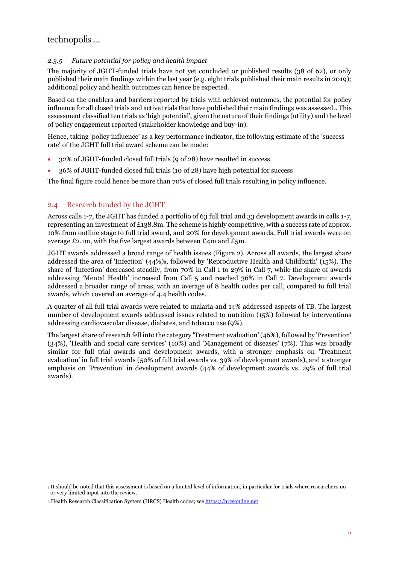#### *2.3.5 Future potential for policy and health impact*

The majority of JGHT-funded trials have not yet concluded or published results (38 of 62), or only published their main findings within the last year (e.g. eight trials published their main results in 2019); additional policy and health outcomes can hence be expected.

Based on the enablers and barriers reported by trials with achieved outcomes, the potential for policy influence for all closed trials and active trials that have published their main findings was assessed $_7$ . This assessment classified ten trials as 'high potential', given the nature of their findings (utility) and the level of policy engagement reported (stakeholder knowledge and buy-in).

Hence, taking 'policy influence' as a key performance indicator, the following estimate of the 'success rate' of the JGHT full trial award scheme can be made:

- 32% of JGHT-funded closed full trials (9 of 28) have resulted in success
- 36% of JGHT-funded closed full trials (10 of 28) have high potential for success

The final figure could hence be more than 70% of closed full trials resulting in policy influence.

#### <span id="page-12-0"></span>2.4 Research funded by the JGHT

Across calls 1-7, the JGHT has funded a portfolio of 63 full trial and 33 development awards in calls 1-7, representing an investment of £138.8m. The scheme is highly competitive, with a success rate of approx. 10% from outline stage to full trial award, and 20% for development awards. Full trial awards were on average £2.1m, with the five largest awards between £4m and £5m.

JGHT awards addressed a broad range of health issues [\(Figure 2\)](#page-13-0). Across all awards, the largest share addressed the area of 'Infection' (44%)8, followed by 'Reproductive Health and Childbirth' (15%). The share of 'Infection' decreased steadily, from 70% in Call 1 to 29% in Call 7, while the share of awards addressing 'Mental Health' increased from Call 5 and reached 36% in Call 7. Development awards addressed a broader range of areas, with an average of 8 health codes per call, compared to full trial awards, which covered an average of 4.4 health codes.

A quarter of all full trial awards were related to malaria and 14% addressed aspects of TB. The largest number of development awards addressed issues related to nutrition (15%) followed by interventions addressing cardiovascular disease, diabetes, and tobacco use (9%).

The largest share of research fell into the category 'Treatment evaluation' (46%), followed by 'Prevention' (34%), 'Health and social care services' (10%) and 'Management of diseases' (7%). This was broadly similar for full trial awards and development awards, with a stronger emphasis on 'Treatment evaluation' in full trial awards (50% of full trial awards vs. 39% of development awards), and a stronger emphasis on 'Prevention' in development awards (44% of development awards vs. 29% of full trial awards).

<sup>7</sup> It should be noted that this assessment is based on a limited level of information, in particular for trials where researchers no or very limited input into the review.

<sup>8</sup> Health Research Classification System (HRCS) Health codes; se[e https://hrcsonline.net](https://hrcsonline.net/)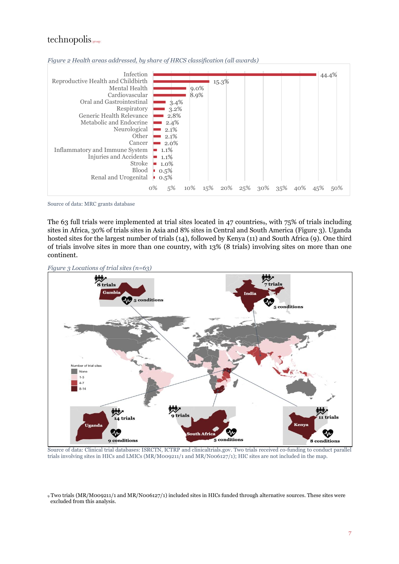<span id="page-13-0"></span>



Source of data: MRC grants database

The 63 full trials were implemented at trial sites located in 47 countries, with  $75\%$  of trials including sites in Africa, 30% of trials sites in Asia and 8% sites in Central and South America [\(Figure 3\)](#page-13-1). Uganda hosted sites for the largest number of trials (14), followed by Kenya (11) and South Africa (9). One third of trials involve sites in more than one country, with 13% (8 trials) involving sites on more than one continent.

<span id="page-13-1"></span>



Source of data: Clinical trial databases: ISRCTN, ICTRP and clinicaltrials.gov. Two trials received co-funding to conduct parallel trials involving sites in HICs and LMICs (MR/M009211/1 and MR/N006127/1); HIC sites are not included in the map.

<sup>9</sup> Two trials (MR/M009211/1 and MR/N006127/1) included sites in HICs funded through alternative sources. These sites were excluded from this analysis.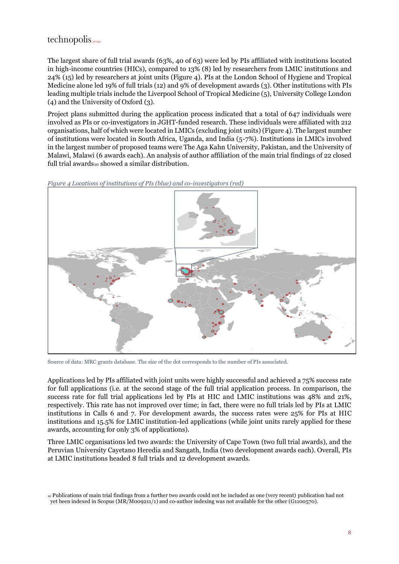## $technopolis_{|group|}$

The largest share of full trial awards (63%, 40 of 63) were led by PIs affiliated with institutions located in high-income countries (HICs), compared to 13% (8) led by researchers from LMIC institutions and 24% (15) led by researchers at joint units [\(Figure 4\)](#page-14-0). PIs at the London School of Hygiene and Tropical Medicine alone led 19% of full trials (12) and 9% of development awards (3). Other institutions with PIs leading multiple trials include the Liverpool School of Tropical Medicine (5), University College London (4) and the University of Oxford (3).

Project plans submitted during the application process indicated that a total of 647 individuals were involved as PIs or co-investigators in JGHT-funded research. These individuals were affiliated with 212 organisations, half of which were located in LMICs (excluding joint units) [\(Figure 4\)](#page-14-0). The largest number of institutions were located in South Africa, Uganda, and India (5-7%). Institutions in LMICs involved in the largest number of proposed teams were The Aga Kahn University, Pakistan, and the University of Malawi, Malawi (6 awards each). An analysis of author affiliation of the main trial findings of 22 closed full trial awards<sup>10</sup> showed a similar distribution.

<span id="page-14-0"></span>



Source of data: MRC grants database. The size of the dot corresponds to the number of PIs associated.

Applications led by PIs affiliated with joint units were highly successful and achieved a 75% success rate for full applications (i.e. at the second stage of the full trial application process. In comparison, the success rate for full trial applications led by PIs at HIC and LMIC institutions was 48% and 21%, respectively. This rate has not improved over time; in fact, there were no full trials led by PIs at LMIC institutions in Calls 6 and 7. For development awards, the success rates were 25% for PIs at HIC institutions and 15.5% for LMIC institution-led applications (while joint units rarely applied for these awards, accounting for only 3% of applications).

Three LMIC organisations led two awards: the University of Cape Town (two full trial awards), and the Peruvian University Cayetano Heredia and Sangath, India (two development awards each). Overall, PIs at LMIC institutions headed 8 full trials and 12 development awards.

<sup>10</sup> Publications of main trial findings from a further two awards could not be included as one (very recent) publication had not yet been indexed in Scopus (MR/M009211/1) and co-author indexing was not available for the other (G1100570).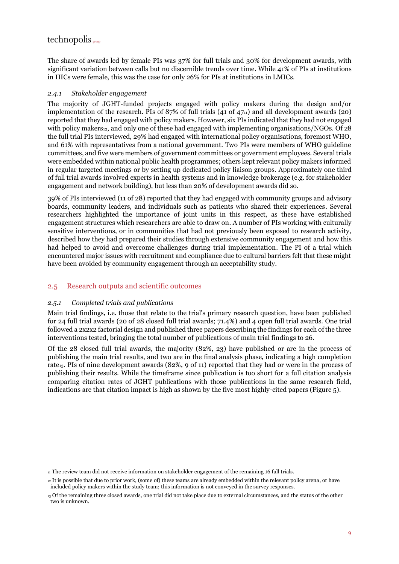The share of awards led by female PIs was 37% for full trials and 30% for development awards, with significant variation between calls but no discernible trends over time. While 41% of PIs at institutions in HICs were female, this was the case for only 26% for PIs at institutions in LMICs.

#### *2.4.1 Stakeholder engagement*

The majority of JGHT-funded projects engaged with policy makers during the design and/or implementation of the research. PIs of 87% of full trials (41 of  $47<sub>11</sub>$ ) and all development awards (20) reported that they had engaged with policy makers. However, six PIs indicated that they had not engaged with policy makers12, and only one of these had engaged with implementing organisations/NGOs. Of 28 the full trial PIs interviewed, 29% had engaged with international policy organisations, foremost WHO, and 61% with representatives from a national government. Two PIs were members of WHO guideline committees, and five were members of government committees or government employees. Several trials were embedded within national public health programmes; others kept relevant policy makers informed in regular targeted meetings or by setting up dedicated policy liaison groups. Approximately one third of full trial awards involved experts in health systems and in knowledge brokerage (e.g. for stakeholder engagement and network building), but less than 20% of development awards did so.

39% of PIs interviewed (11 of 28) reported that they had engaged with community groups and advisory boards, community leaders, and individuals such as patients who shared their experiences. Several researchers highlighted the importance of joint units in this respect, as these have established engagement structures which researchers are able to draw on. A number of PIs working with culturally sensitive interventions, or in communities that had not previously been exposed to research activity, described how they had prepared their studies through extensive community engagement and how this had helped to avoid and overcome challenges during trial implementation. The PI of a trial which encountered major issues with recruitment and compliance due to cultural barriers felt that these might have been avoided by community engagement through an acceptability study.

#### <span id="page-15-0"></span>2.5 Research outputs and scientific outcomes

#### *2.5.1 Completed trials and publications*

Main trial findings, i.e. those that relate to the trial's primary research question, have been published for 24 full trial awards (20 of 28 closed full trial awards; 71.4%) and 4 open full trial awards. One trial followed a 2x2x2 factorial design and published three papers describing the findings for each of the three interventions tested, bringing the total number of publications of main trial findings to 26.

Of the 28 closed full trial awards, the majority (82%, 23) have published or are in the process of publishing the main trial results, and two are in the final analysis phase, indicating a high completion rate13. PIs of nine development awards (82%, 9 of 11) reported that they had or were in the process of publishing their results. While the timeframe since publication is too short for a full citation analysis comparing citation rates of JGHT publications with those publications in the same research field, indications are that citation impact is high as shown by the five most highly-cited papers [\(Figure 5\)](#page-16-0).

<sup>11</sup> The review team did not receive information on stakeholder engagement of the remaining 16 full trials.

<sup>12</sup> It is possible that due to prior work, (some of) these teams are already embedded within the relevant policy arena, or have included policy makers within the study team; this information is not conveyed in the survey responses.

<sup>13</sup> Of the remaining three closed awards, one trial did not take place due to external circumstances, and the status of the other two is unknown.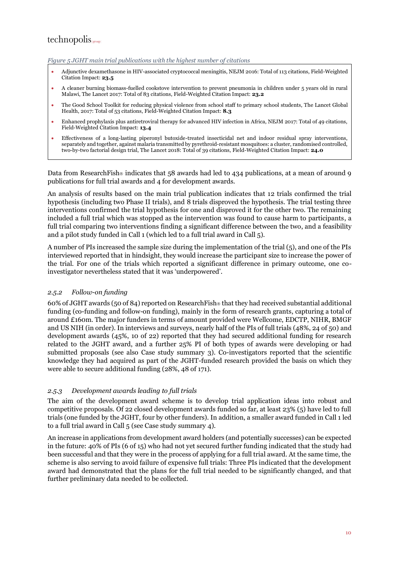#### <span id="page-16-0"></span>*Figure 5 JGHT main trial publications with the highest number of citations*

- Adjunctive dexamethasone in HIV-associated cryptococcal meningitis, NEJM 2016: Total of 113 citations, Field-Weighted Citation Impact: **23.5**
- A cleaner burning biomass-fuelled cookstove intervention to prevent pneumonia in children under 5 years old in rural Malawi, The Lancet 2017: Total of 83 citations, Field-Weighted Citation Impact: **23.2**
- The Good School Toolkit for reducing physical violence from school staff to primary school students, The Lancet Global Health, 2017: Total of 53 citations, Field-Weighted Citation Impact: **8.3**
- Enhanced prophylaxis plus antiretroviral therapy for advanced HIV infection in Africa, NEJM 2017: Total of 49 citations, Field-Weighted Citation Impact: **13.4**
- Effectiveness of a long-lasting piperonyl butoxide-treated insecticidal net and indoor residual spray interventions, separately and together, against malaria transmitted by pyrethroid-resistant mosquitoes: a cluster, randomised controlled, two-by-two factorial design trial, The Lancet 2018: Total of 39 citations, Field-Weighted Citation Impact: **24.0**

Data from ResearchFish indicates that  $58$  awards had led to 434 publications, at a mean of around 9 publications for full trial awards and 4 for development awards.

An analysis of results based on the main trial publication indicates that 12 trials confirmed the trial hypothesis (including two Phase II trials), and 8 trials disproved the hypothesis. The trial testing three interventions confirmed the trial hypothesis for one and disproved it for the other two. The remaining included a full trial which was stopped as the intervention was found to cause harm to participants, a full trial comparing two interventions finding a significant difference between the two, and a feasibility and a pilot study funded in Call 1 (which led to a full trial award in Call 5).

A number of PIs increased the sample size during the implementation of the trial (5), and one of the PIs interviewed reported that in hindsight, they would increase the participant size to increase the power of the trial. For one of the trials which reported a significant difference in primary outcome, one coinvestigator nevertheless stated that it was 'underpowered'.

#### *2.5.2 Follow-on funding*

60% of JGHT awards (50 of 84) reported on ResearchFish that they had received substantial additional funding (co-funding and follow-on funding), mainly in the form of research grants, capturing a total of around £160m. The major funders in terms of amount provided were Wellcome, EDCTP, NIHR, BMGF and US NIH (in order). In interviews and surveys, nearly half of the PIs of full trials (48%, 24 of 50) and development awards (45%, 10 of 22) reported that they had secured additional funding for research related to the JGHT award, and a further 25% PI of both types of awards were developing or had submitted proposals (see also [Case study summary 3\)](#page-10-0). Co-investigators reported that the scientific knowledge they had acquired as part of the JGHT-funded research provided the basis on which they were able to secure additional funding (28%, 48 of 171).

#### *2.5.3 Development awards leading to full trials*

The aim of the development award scheme is to develop trial application ideas into robust and competitive proposals. Of 22 closed development awards funded so far, at least 23% (5) have led to full trials (one funded by the JGHT, four by other funders). In addition, a smaller award funded in Call 1 led to a full trial award in Call 5 (see [Case study summary 4\)](#page-17-0).

An increase in applications from development award holders (and potentially successes) can be expected in the future: 40% of PIs (6 of 15) who had not yet secured further funding indicated that the study had been successful and that they were in the process of applying for a full trial award. At the same time, the scheme is also serving to avoid failure of expensive full trials: Three PIs indicated that the development award had demonstrated that the plans for the full trial needed to be significantly changed, and that further preliminary data needed to be collected.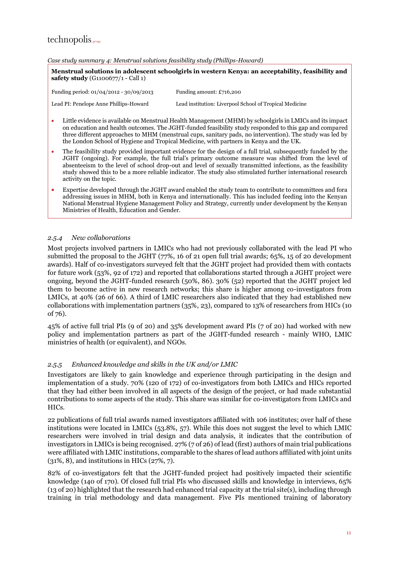#### <span id="page-17-0"></span>*Case study summary 4: Menstrual solutions feasibility study (Phillips-Howard)*

**Menstrual solutions in adolescent schoolgirls in western Kenya: an acceptability, feasibility and safety study** (G1100677/1 - Call 1)

Funding period: 01/04/2012 - 30/09/2013 Funding amount: £716,200

Lead PI: Penelope Anne Phillips-Howard Lead institution: Liverpool School of Tropical Medicine

- Little evidence is available on Menstrual Health Management (MHM) by schoolgirls in LMICs and its impact on education and health outcomes. The JGHT-funded feasibility study responded to this gap and compared three different approaches to MHM (menstrual cups, sanitary pads, no intervention). The study was led by the London School of Hygiene and Tropical Medicine, with partners in Kenya and the UK.
- The feasibility study provided important evidence for the design of a full trial, subsequently funded by the JGHT (ongoing). For example, the full trial's primary outcome measure was shifted from the level of absenteeism to the level of school drop-out and level of sexually transmitted infections, as the feasibility study showed this to be a more reliable indicator. The study also stimulated further international research activity on the topic.
- Expertise developed through the JGHT award enabled the study team to contribute to committees and fora addressing issues in MHM, both in Kenya and internationally. This has included feeding into the Kenyan National Menstrual Hygiene Management Policy and Strategy, currently under development by the Kenyan Ministries of Health, Education and Gender.

#### *2.5.4 New collaborations*

Most projects involved partners in LMICs who had not previously collaborated with the lead PI who submitted the proposal to the JGHT (77%, 16 of 21 open full trial awards; 65%, 15 of 20 development awards). Half of co-investigators surveyed felt that the JGHT project had provided them with contacts for future work (53%, 92 of 172) and reported that collaborations started through a JGHT project were ongoing, beyond the JGHT-funded research (50%, 86). 30% (52) reported that the JGHT project led them to become active in new research networks; this share is higher among co-investigators from LMICs, at 40% (26 of 66). A third of LMIC researchers also indicated that they had established new collaborations with implementation partners (35%, 23), compared to 13% of researchers from HICs (10 of 76).

45% of active full trial PIs (9 of 20) and 35% development award PIs (7 of 20) had worked with new policy and implementation partners as part of the JGHT-funded research - mainly WHO, LMIC ministries of health (or equivalent), and NGOs.

#### *2.5.5 Enhanced knowledge and skills in the UK and/or LMIC*

Investigators are likely to gain knowledge and experience through participating in the design and implementation of a study. 70% (120 of 172) of co-investigators from both LMICs and HICs reported that they had either been involved in all aspects of the design of the project, or had made substantial contributions to some aspects of the study. This share was similar for co-investigators from LMICs and HICs.

22 publications of full trial awards named investigators affiliated with 106 institutes; over half of these institutions were located in LMICs (53.8%, 57). While this does not suggest the level to which LMIC researchers were involved in trial design and data analysis, it indicates that the contribution of investigators in LMICs is being recognised. 27% (7 of 26) of lead (first) authors of main trial publications were affiliated with LMIC institutions, comparable to the shares of lead authors affiliated with joint units (31%, 8), and institutions in HICs (27%, 7).

82% of co-investigators felt that the JGHT-funded project had positively impacted their scientific knowledge (140 of 170). Of closed full trial PIs who discussed skills and knowledge in interviews, 65% (13 of 20) highlighted that the research had enhanced trial capacity at the trial site(s), including through training in trial methodology and data management. Five PIs mentioned training of laboratory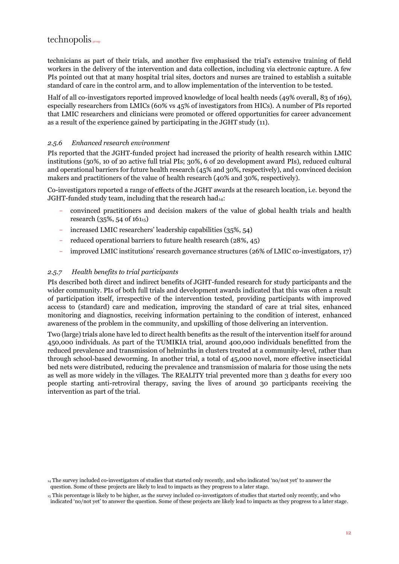technicians as part of their trials, and another five emphasised the trial's extensive training of field workers in the delivery of the intervention and data collection, including via electronic capture. A few PIs pointed out that at many hospital trial sites, doctors and nurses are trained to establish a suitable standard of care in the control arm, and to allow implementation of the intervention to be tested.

Half of all co-investigators reported improved knowledge of local health needs (49% overall, 83 of 169), especially researchers from LMICs (60% vs 45% of investigators from HICs). A number of PIs reported that LMIC researchers and clinicians were promoted or offered opportunities for career advancement as a result of the experience gained by participating in the JGHT study (11).

#### *2.5.6 Enhanced research environment*

PIs reported that the JGHT-funded project had increased the priority of health research within LMIC institutions (50%, 10 of 20 active full trial PIs; 30%, 6 of 20 development award PIs), reduced cultural and operational barriers for future health research (45% and 30%, respectively), and convinced decision makers and practitioners of the value of health research (40% and 30%, respectively).

Co-investigators reported a range of effects of the JGHT awards at the research location, i.e. beyond the JGHT-funded study team, including that the research had $_{14}$ :

- convinced practitioners and decision makers of the value of global health trials and health research (35%, 54 of  $161_{15}$ )
- increased LMIC researchers' leadership capabilities (35%, 54)
- reduced operational barriers to future health research (28%, 45)
- improved LMIC institutions' research governance structures (26% of LMIC co-investigators, 17)

#### *2.5.7 Health benefits to trial participants*

PIs described both direct and indirect benefits of JGHT-funded research for study participants and the wider community. PIs of both full trials and development awards indicated that this was often a result of participation itself, irrespective of the intervention tested, providing participants with improved access to (standard) care and medication, improving the standard of care at trial sites, enhanced monitoring and diagnostics, receiving information pertaining to the condition of interest, enhanced awareness of the problem in the community, and upskilling of those delivering an intervention.

Two (large) trials alone have led to direct health benefits as the result of the intervention itself for around 450,000 individuals. As part of the TUMIKIA trial, around 400,000 individuals benefitted from the reduced prevalence and transmission of helminths in clusters treated at a community-level, rather than through school-based deworming. In another trial, a total of 45,000 novel, more effective insecticidal bed nets were distributed, reducing the prevalence and transmission of malaria for those using the nets as well as more widely in the villages. The REALITY trial prevented more than 3 deaths for every 100 people starting anti-retroviral therapy, saving the lives of around 30 participants receiving the intervention as part of the trial.

<sup>14</sup> The survey included co-investigators of studies that started only recently, and who indicated 'no/not yet' to answer the question. Some of these projects are likely to lead to impacts as they progress to a later stage.

<sup>15</sup> This percentage is likely to be higher, as the survey included co-investigators of studies that started only recently, and who indicated 'no/not yet' to answer the question. Some of these projects are likely lead to impacts as they progress to a later stage.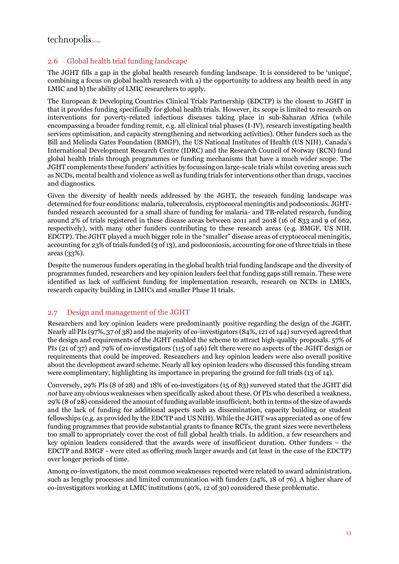## $technopolis_{\text{group}}$

### <span id="page-19-0"></span>2.6 Global health trial funding landscape

The JGHT fills a gap in the global health research funding landscape. It is considered to be 'unique', combining a focus on global health research with a) the opportunity to address any health need in any LMIC and b) the ability of LMIC researchers to apply.

The European & Developing Countries Clinical Trials Partnership (EDCTP) is the closest to JGHT in that it provides funding specifically for global health trials. However, its scope is limited to research on interventions for poverty-related infectious diseases taking place in sub-Saharan Africa (while encompassing a broader funding remit, e.g. all clinical trial phases (I-IV), research investigating health services optimisation, and capacity strengthening and networking activities). Other funders such as the Bill and Melinda Gates Foundation (BMGF), the US National Institutes of Health (US NIH), Canada's International Development Research Centre (IDRC) and the Research Council of Norway (RCN) fund global health trials through programmes or funding mechanisms that have a much wider scope. The JGHT complements these funders' activities by focussing on large-scale trials whilst covering areas such as NCDs, mental health and violence as well as funding trials for interventions other than drugs, vaccines and diagnostics.

Given the diversity of health needs addressed by the JGHT, the research funding landscape was determined for four conditions: malaria, tuberculosis, cryptococcal meningitis and podoconiosis. JGHTfunded research accounted for a small share of funding for malaria- and TB-related research, funding around 2% of trials registered in these disease areas between 2011 and 2018 (16 of 833 and 9 of 662, respectively), with many other funders contributing to these research areas (e.g. BMGF, US NIH, EDCTP). The JGHT played a much bigger role in the "smaller" disease areas of cryptococcal meningitis, accounting for 23% of trials funded (3 of 13), and podoconiosis, accounting for one of three trials in these areas (33%).

Despite the numerous funders operating in the global health trial funding landscape and the diversity of programmes funded, researchers and key opinion leaders feel that funding gaps still remain. These were identified as lack of sufficient funding for implementation research, research on NCDs in LMICs, research capacity building in LMICs and smaller Phase II trials.

#### <span id="page-19-1"></span>2.7 Design and management of the JGHT

Researchers and key opinion leaders were predominantly positive regarding the design of the JGHT. Nearly all PIs (97%, 37 of 38) and the majority of co-investigators (84%, 121 of 144) surveyed agreed that the design and requirements of the JGHT enabled the scheme to attract high-quality proposals. 57% of PIs (21 of 37) and 79% of co-investigators (115 of 146) felt there were no aspects of the JGHT design or requirements that could be improved. Researchers and key opinion leaders were also overall positive about the development award scheme. Nearly all key opinion leaders who discussed this funding stream were complimentary, highlighting its importance in preparing the ground for full trials (13 of 14).

Conversely, 29% PIs (8 of 28) and 18% of co-investigators (15 of 83) surveyed stated that the JGHT did *not* have any obvious weaknesses when specifically asked about these. Of PIs who described a weakness, 29% (8 of 28) considered the amount of funding available insufficient, both in terms of the size of awards and the lack of funding for additional aspects such as dissemination, capacity building or student fellowships (e.g. as provided by the EDCTP and US NIH). While the JGHT was appreciated as one of few funding programmes that provide substantial grants to finance RCTs, the grant sizes were nevertheless too small to appropriately cover the cost of full global health trials. In addition, a few researchers and key opinion leaders considered that the awards were of insufficient duration. Other funders – the EDCTP and BMGF - were cited as offering much larger awards and (at least in the case of the EDCTP) over longer periods of time.

Among co-investigators, the most common weaknesses reported were related to award administration, such as lengthy processes and limited communication with funders (24%, 18 of 76). A higher share of co-investigators working at LMIC institutions (40%, 12 of 30) considered these problematic.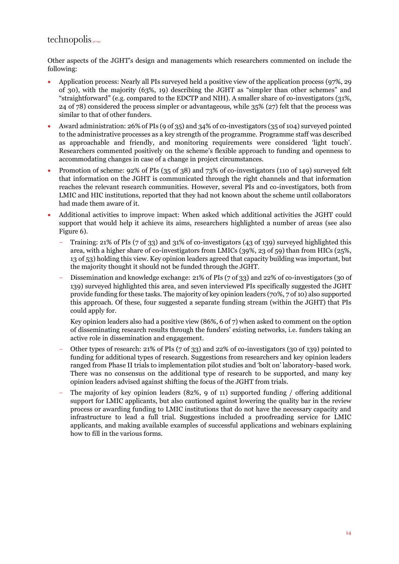## $technopolis_{|group|}$

Other aspects of the JGHT's design and managements which researchers commented on include the following:

- Application process: Nearly all PIs surveyed held a positive view of the application process (97%, 29 of 30), with the majority (63%, 19) describing the JGHT as "simpler than other schemes" and "straightforward" (e.g. compared to the EDCTP and NIH). A smaller share of co-investigators (31%, 24 of 78) considered the process simpler or advantageous, while 35% (27) felt that the process was similar to that of other funders.
- Award administration: 26% of PIs (9 of 35) and 34% of co-investigators (35 of 104) surveyed pointed to the administrative processes as a key strength of the programme. Programme staff was described as approachable and friendly, and monitoring requirements were considered 'light touch'. Researchers commented positively on the scheme's flexible approach to funding and openness to accommodating changes in case of a change in project circumstances.
- Promotion of scheme: 92% of PIs (35 of 38) and 73% of co-investigators (110 of 149) surveyed felt that information on the JGHT is communicated through the right channels and that information reaches the relevant research communities. However, several PIs and co-investigators, both from LMIC and HIC institutions, reported that they had not known about the scheme until collaborators had made them aware of it.
- Additional activities to improve impact: When asked which additional activities the JGHT could support that would help it achieve its aims, researchers highlighted a number of areas (see also [Figure 6\)](#page-21-1).
	- Training: 21% of PIs (7 of 33) and 31% of co-investigators (43 of 139) surveyed highlighted this area, with a higher share of co-investigators from LMICs (39%, 23 of 59) than from HICs (25%, 13 of 53) holding this view. Key opinion leaders agreed that capacity building was important, but the majority thought it should not be funded through the JGHT.
	- Dissemination and knowledge exchange: 21% of PIs (7 of 33) and 22% of co-investigators (30 of 139) surveyed highlighted this area, and seven interviewed PIs specifically suggested the JGHT provide funding for these tasks. The majority of key opinion leaders (70%, 7 of 10) also supported this approach. Of these, four suggested a separate funding stream (within the JGHT) that PIs could apply for.

Key opinion leaders also had a positive view (86%, 6 of 7) when asked to comment on the option of disseminating research results through the funders' existing networks, i.e. funders taking an active role in dissemination and engagement.

- Other types of research: 21% of PIs (7 of 33) and 22% of co-investigators (30 of 139) pointed to funding for additional types of research. Suggestions from researchers and key opinion leaders ranged from Phase II trials to implementation pilot studies and 'bolt on' laboratory-based work. There was no consensus on the additional type of research to be supported, and many key opinion leaders advised against shifting the focus of the JGHT from trials.
- The majority of key opinion leaders (82%, 9 of 11) supported funding / offering additional support for LMIC applicants, but also cautioned against lowering the quality bar in the review process or awarding funding to LMIC institutions that do not have the necessary capacity and infrastructure to lead a full trial. Suggestions included a proofreading service for LMIC applicants, and making available examples of successful applications and webinars explaining how to fill in the various forms.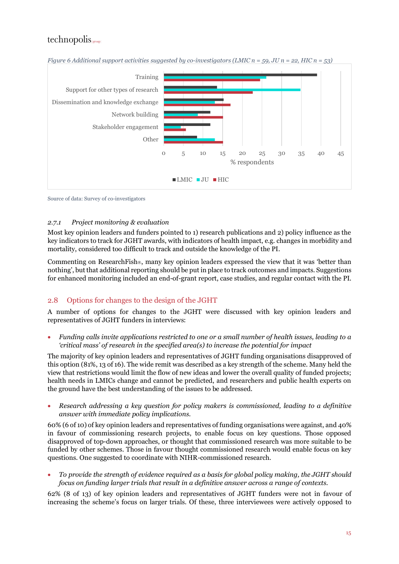

<span id="page-21-1"></span>*Figure 6 Additional support activities suggested by co-investigators (LMIC n = 59, JU n = 22, HIC n = 53)*

Source of data: Survey of co-investigators

#### *2.7.1 Project monitoring & evaluation*

Most key opinion leaders and funders pointed to 1) research publications and 2) policy influence as the key indicators to track for JGHT awards, with indicators of health impact, e.g. changes in morbidity and mortality, considered too difficult to track and outside the knowledge of the PI.

Commenting on ResearchFish<sup>®</sup>, many key opinion leaders expressed the view that it was 'better than nothing', but that additional reporting should be put in place to track outcomes and impacts. Suggestions for enhanced monitoring included an end-of-grant report, case studies, and regular contact with the PI.

## <span id="page-21-0"></span>2.8 Options for changes to the design of the JGHT

A number of options for changes to the JGHT were discussed with key opinion leaders and representatives of JGHT funders in interviews:

• *Funding calls invite applications restricted to one or a small number of health issues, leading to a 'critical mass' of research in the specified area(s) to increase the potential for impact*

The majority of key opinion leaders and representatives of JGHT funding organisations disapproved of this option (81%, 13 of 16). The wide remit was described as a key strength of the scheme. Many held the view that restrictions would limit the flow of new ideas and lower the overall quality of funded projects; health needs in LMICs change and cannot be predicted, and researchers and public health experts on the ground have the best understanding of the issues to be addressed.

• *Research addressing a key question for policy makers is commissioned, leading to a definitive answer with immediate policy implications.* 

60% (6 of 10) of key opinion leaders and representatives of funding organisations were against, and 40% in favour of commissioning research projects, to enable focus on key questions. Those opposed disapproved of top-down approaches, or thought that commissioned research was more suitable to be funded by other schemes. Those in favour thought commissioned research would enable focus on key questions. One suggested to coordinate with NIHR-commissioned research.

• *To provide the strength of evidence required as a basis for global policy making, the JGHT should focus on funding larger trials that result in a definitive answer across a range of contexts.*

62% (8 of 13) of key opinion leaders and representatives of JGHT funders were not in favour of increasing the scheme's focus on larger trials. Of these, three interviewees were actively opposed to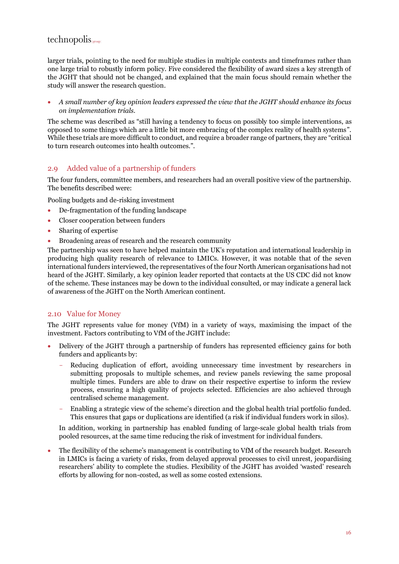larger trials, pointing to the need for multiple studies in multiple contexts and timeframes rather than one large trial to robustly inform policy. Five considered the flexibility of award sizes a key strength of the JGHT that should not be changed, and explained that the main focus should remain whether the study will answer the research question.

• *A small number of key opinion leaders expressed the view that the JGHT should enhance its focus on implementation trials.* 

The scheme was described as "still having a tendency to focus on possibly too simple interventions, as opposed to some things which are a little bit more embracing of the complex reality of health systems". While these trials are more difficult to conduct, and require a broader range of partners, they are "critical to turn research outcomes into health outcomes.".

### <span id="page-22-0"></span>2.9 Added value of a partnership of funders

The four funders, committee members, and researchers had an overall positive view of the partnership. The benefits described were:

Pooling budgets and de-risking investment

- De-fragmentation of the funding landscape
- Closer cooperation between funders
- Sharing of expertise
- Broadening areas of research and the research community

The partnership was seen to have helped maintain the UK's reputation and international leadership in producing high quality research of relevance to LMICs. However, it was notable that of the seven international funders interviewed, the representatives of the four North American organisations had not heard of the JGHT. Similarly, a key opinion leader reported that contacts at the US CDC did not know of the scheme. These instances may be down to the individual consulted, or may indicate a general lack of awareness of the JGHT on the North American continent.

#### <span id="page-22-1"></span>2.10 Value for Money

The JGHT represents value for money (VfM) in a variety of ways, maximising the impact of the investment. Factors contributing to VfM of the JGHT include:

- Delivery of the JGHT through a partnership of funders has represented efficiency gains for both funders and applicants by:
	- Reducing duplication of effort, avoiding unnecessary time investment by researchers in submitting proposals to multiple schemes, and review panels reviewing the same proposal multiple times. Funders are able to draw on their respective expertise to inform the review process, ensuring a high quality of projects selected. Efficiencies are also achieved through centralised scheme management.
	- Enabling a strategic view of the scheme's direction and the global health trial portfolio funded. This ensures that gaps or duplications are identified (a risk if individual funders work in silos).

In addition, working in partnership has enabled funding of large-scale global health trials from pooled resources, at the same time reducing the risk of investment for individual funders.

• The flexibility of the scheme's management is contributing to VfM of the research budget. Research in LMICs is facing a variety of risks, from delayed approval processes to civil unrest, jeopardising researchers' ability to complete the studies. Flexibility of the JGHT has avoided 'wasted' research efforts by allowing for non-costed, as well as some costed extensions.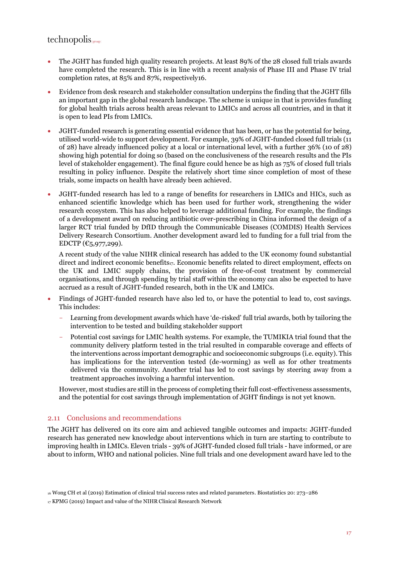## $technopolis_{|group|}$

- The JGHT has funded high quality research projects. At least 89% of the 28 closed full trials awards have completed the research. This is in line with a recent analysis of Phase III and Phase IV trial completion rates, at 85% and 87%, respectively16.
- Evidence from desk research and stakeholder consultation underpins the finding that the JGHT fills an important gap in the global research landscape. The scheme is unique in that is provides funding for global health trials across health areas relevant to LMICs and across all countries, and in that it is open to lead PIs from LMICs.
- JGHT-funded research is generating essential evidence that has been, or has the potential for being, utilised world-wide to support development. For example, 39% of JGHT-funded closed full trials (11 of 28) have already influenced policy at a local or international level, with a further 36% (10 of 28) showing high potential for doing so (based on the conclusiveness of the research results and the PIs level of stakeholder engagement). The final figure could hence be as high as 75% of closed full trials resulting in policy influence. Despite the relatively short time since completion of most of these trials, some impacts on health have already been achieved.
- JGHT-funded research has led to a range of benefits for researchers in LMICs and HICs, such as enhanced scientific knowledge which has been used for further work, strengthening the wider research ecosystem. This has also helped to leverage additional funding. For example, the findings of a development award on reducing antibiotic over-prescribing in China informed the design of a larger RCT trial funded by DfID through the Communicable Diseases (COMDIS) Health Services Delivery Research Consortium. Another development award led to funding for a full trial from the EDCTP  $(\text{C}_5, 977, 299)$ .

A recent study of the value NIHR clinical research has added to the UK economy found substantial direct and indirect economic benefits<sub>17</sub>. Economic benefits related to direct employment, effects on the UK and LMIC supply chains, the provision of free-of-cost treatment by commercial organisations, and through spending by trial staff within the economy can also be expected to have accrued as a result of JGHT-funded research, both in the UK and LMICs.

- Findings of JGHT-funded research have also led to, or have the potential to lead to, cost savings. This includes:
	- Learning from development awards which have 'de-risked' full trial awards, both by tailoring the intervention to be tested and building stakeholder support
	- Potential cost savings for LMIC health systems. For example, the TUMIKIA trial found that the community delivery platform tested in the trial resulted in comparable coverage and effects of the interventions across important demographic and socioeconomic subgroups (i.e. equity). This has implications for the intervention tested (de-worming) as well as for other treatments delivered via the community. Another trial has led to cost savings by steering away from a treatment approaches involving a harmful intervention.

However, most studies are still in the process of completing their full cost-effectiveness assessments, and the potential for cost savings through implementation of JGHT findings is not yet known.

#### <span id="page-23-0"></span>2.11 Conclusions and recommendations

The JGHT has delivered on its core aim and achieved tangible outcomes and impacts: JGHT-funded research has generated new knowledge about interventions which in turn are starting to contribute to improving health in LMICs. Eleven trials - 39% of JGHT-funded closed full trials - have informed, or are about to inform, WHO and national policies. Nine full trials and one development award have led to the

<sup>16</sup> Wong CH et al (2019) Estimation of clinical trial success rates and related parameters. Biostatistics 20: 273–286

<sup>17</sup> KPMG (2019) Impact and value of the NIHR Clinical Research Network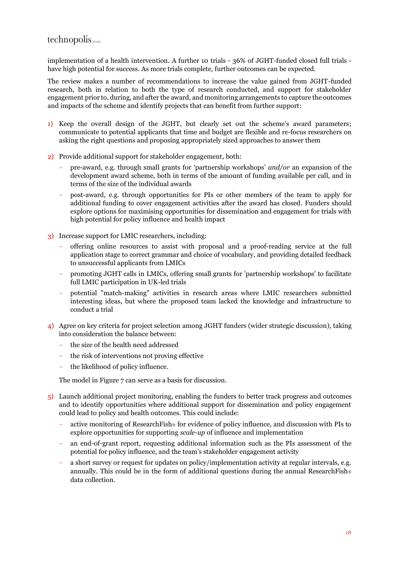implementation of a health intervention. A further 10 trials - 36% of JGHT-funded closed full trials have high potential for success. As more trials complete, further outcomes can be expected.

The review makes a number of recommendations to increase the value gained from JGHT-funded research, both in relation to both the type of research conducted, and support for stakeholder engagement prior to, during, and after the award, and monitoring arrangements to capture the outcomes and impacts of the scheme and identify projects that can benefit from further support:

- 1) Keep the overall design of the JGHT, but clearly set out the scheme's award parameters; communicate to potential applicants that time and budget are flexible and re-focus researchers on asking the right questions and proposing appropriately sized approaches to answer them
- 2) Provide additional support for stakeholder engagement, both:
	- pre-award, e.g. through small grants for 'partnership workshops' *and/or* an expansion of the development award scheme, both in terms of the amount of funding available per call, and in terms of the size of the individual awards
	- post-award, e.g. through opportunities for PIs or other members of the team to apply for additional funding to cover engagement activities after the award has closed. Funders should explore options for maximising opportunities for dissemination and engagement for trials with high potential for policy influence and health impact
- 3) Increase support for LMIC researchers, including:
	- offering online resources to assist with proposal and a proof-reading service at the full application stage to correct grammar and choice of vocabulary, and providing detailed feedback to unsuccessful applicants from LMICs
	- promoting JGHT calls in LMICs, offering small grants for 'partnership workshops' to facilitate full LMIC participation in UK-led trials
	- potential "match-making" activities in research areas where LMIC researchers submitted interesting ideas, but where the proposed team lacked the knowledge and infrastructure to conduct a trial
- 4) Agree on key criteria for project selection among JGHT funders (wider strategic discussion), taking into consideration the balance between:
	- the size of the health need addressed
	- the risk of interventions not proving effective
	- the likelihood of policy influence.

The model i[n Figure 7](#page-25-0) can serve as a basis for discussion.

- 5) Launch additional project monitoring, enabling the funders to better track progress and outcomes and to identify opportunities where additional support for dissemination and policy engagement could lead to policy and health outcomes. This could include:
	- active monitoring of ResearchFish for evidence of policy influence, and discussion with PIs to explore opportunities for supporting *scale-up* of influence and implementation
	- an end-of-grant report, requesting additional information such as the PIs assessment of the potential for policy influence, and the team's stakeholder engagement activity
	- a short survey or request for updates on policy/implementation activity at regular intervals, e.g. annually. This could be in the form of additional questions during the annual ResearchFish $\circ$ data collection.